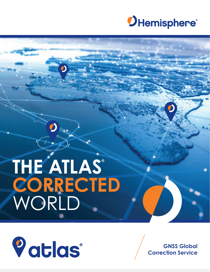

## **THE ATLAS® CORRECTED** WORLD

7



**GNSS Global Correction Service**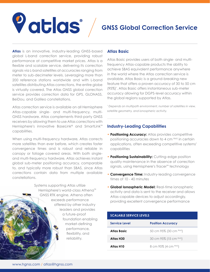## **GNSS Global Correction Service**

**Atlas** is an innovative, industry-leading GNSS-based global L-band correction service, providing robust performance at competitive market prices. Atlas is a fexible and scalable service, delivering its correction signals via L-band satellites at accuracies ranging from meter to sub-decimeter levels. Leveraging more than 200 reference stations worldwide and with L-band satellites distributing Atlas corrections, the entire globe is virtually covered. The Atlas GNSS global correction service provides correction data for GPS, GLONASS, BeiDou, and Galileo constellations.

Vatlas®

Atlas correction service is available on all Hemisphere Atlas-capable single- and multi-frequency, multi-GNSS hardware. Atlas complements third-party GNSS receivers by allowing them to use Atlas corrections with Hemisphere's innovative BaseLink® and SmartLink™ capabilities.

When using multi-frequency hardware, Atlas corrects more satellites than ever before, which creates faster convergence times and is robust and reliable in canopy or foliage covered areas. With both singleand multi-frequency hardware, Atlas achieves instant global sub-meter positioning accuracy, comparable to, and typically more robust than SBAS, since Atlas corrections contain data from multiple available constellations.

> Systems supporting Atlas utilize Hemisphere's world-class Athena™ GNSS RTK engine. Athena often exceeds performance offered by other industry leaders and provides a future-proof foundation enabling market-defning performance, fexibility, and reliability.

#### **Atlas Basic**

Atlas Basic provides users of both single- and multifrequency Atlas-capable products the ability to achieve SBAS equivalent performance anywhere in the world where the Atlas correction service is available. Atlas Basic is a ground-breaking new feature that offers a proven accuracy of 30 to 50 cm (95%)\* . Atlas Basic offers instantaneous sub-meter accuracy allowing for DGPS-level accuracy within the global regions supported by Atlas.

*\* Depends on multipath environment, number of satellites in view, satellite geometry, and ionospheric activity.*

#### **Industry-Leading Capabilities**

- **• Positioning Accuracy:** Atlas provides competitive positioning accuracies down to 4 cm RMS in certain applications, often exceeding competitive systems' capabilities
- **• Positioning Sustainability:** Cutting-edge position quality maintenance in the absence of correction signals, using Hemisphere's Tracer™ technology
- **• Convergence Time:** Industry-leading convergence times of 10 - 40 minutes
- **• Global Ionospheric Model:** Real-time ionospheric activity and data is sent to the receiver and allows Atlas-capable devices to adjust accordingly, providing excellent convergence performance

| <b>SCALABLE SERVICE LEVELS</b> |                          |  |  |  |
|--------------------------------|--------------------------|--|--|--|
| <b>Service Level</b>           | <b>Position Accuracy</b> |  |  |  |
| <b>Atlas Basic</b>             | 50 cm 95% (30 cm RMS)    |  |  |  |
| Atlas H30                      | 30 cm 95% (15 cm RMS)    |  |  |  |
| Atlas H10                      | 8 cm 95% (4 cm RMS)      |  |  |  |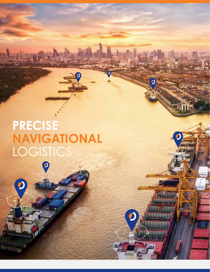## **PRECISE NAVIGATIONAL LOGISTICS**

 $\overline{\mathbf{O}}$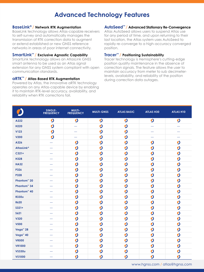#### **Advanced Technology Features**

#### **BaseLink<sup>®</sup>/ Network RTK Augmentation**

BaseLink technology allows Atlas-capable receivers to self-survey and automatically manages the transmission of RTK correction data to augment or extend established or new GNSS reference networks in areas of poor internet connectivity.

#### SmartLink<sup>™</sup> / Exclusive Agnostic Capability

SmartLink technology allows an AtlasLink GNSS smart antenna to be used as an Atlas signal extension for any GNSS system compliant with open communication standards.

#### aRTK™ / Atlas-Based RTK Augmentation

Powered by Atlas, the innovative aRTK technology operates on any Atlas-capable device by enabling it to maintain RTK-level accuracy, availability, and reliability when RTK corrections fail.

#### AutoSeed<sup>™</sup> / Advanced Stationary Re-Convergence

Atlas AutoSeed allows users to suspend Atlas use for any period of time, and upon returning to their last location, the Atlas system uses AutoSeed to rapidly re-converge to a high-accuracy converged position.

#### Tracer<sup>™</sup> / Positioning Sustainability

Tracer technology is Hemisphere's cutting-edge position quality maintenance in the absence of correction signals. The feature allows the user to maintain accuracy from meter to sub decimeterlevels, availability, and reliability of the position during correction data outages.

|                         | SINGLE-<br><b>FREQUENCY</b> | <b>MULTI-</b><br><b>FREQUENCY</b> | <b>MULTI-GNSS</b> | <b>ATLAS BASIC</b>      | ATLAS H30                | <b>ATLAS H10</b> |
|-------------------------|-----------------------------|-----------------------------------|-------------------|-------------------------|--------------------------|------------------|
| A222                    | $\boldsymbol{O}$            | $\boldsymbol{O}$                  | $\boldsymbol{O}$  | $\boldsymbol{O}$        | $\boldsymbol{O}$         | $\boldsymbol{O}$ |
| H220                    | $\overline{\mathbf{O}}$     | $\overline{\phantom{0}}$          | $\overline{O}$    | $\overline{O}$          | -                        |                  |
| <b>V123</b>             | $\boldsymbol{O}$            |                                   | $\boldsymbol{O}$  | $\boldsymbol{O}$        | $\overline{\phantom{0}}$ |                  |
| <b>V200</b>             | $\boldsymbol{O}$            |                                   | $\boldsymbol{O}$  | $\overline{O}$          |                          |                  |
| A326                    | $\overline{\phantom{0}}$    | $\boldsymbol{O}$                  | $\boldsymbol{O}$  | $\overline{O}$          | $\boldsymbol{O}$         | $\boldsymbol{O}$ |
| <b>AtlasLink®</b>       |                             | $\boldsymbol{O}$                  | $\boldsymbol{O}$  | $\boldsymbol{O}$        | $\boldsymbol{O}$         | $\boldsymbol{O}$ |
| $C321+$                 |                             | $\boldsymbol{O}$                  | $\boldsymbol{O}$  | $\overline{O}$          | $\boldsymbol{O}$         | $\boldsymbol{O}$ |
| <b>H328</b>             |                             | $\boldsymbol{O}$                  | $\boldsymbol{O}$  | $\boldsymbol{O}$        | $\boldsymbol{O}$         | $\boldsymbol{O}$ |
| <b>HA32</b>             | $\overline{\phantom{0}}$    | $\boldsymbol{O}$                  | $\boldsymbol{O}$  | $\boldsymbol{O}$        | $\boldsymbol{O}$         | $\boldsymbol{O}$ |
| P326                    |                             | $\boldsymbol{O}$                  | $\boldsymbol{O}$  | $\mathbf O$             | $\mathbf O$              | $\boldsymbol{O}$ |
| <b>P328</b>             | -                           | $\boldsymbol{O}$                  | $\boldsymbol{O}$  | $\boldsymbol{O}$        | $\boldsymbol{O}$         | $\boldsymbol{O}$ |
| Phantom <sup>™</sup> 20 | -                           | $\boldsymbol{O}$                  | $\boldsymbol{O}$  | $\mathbf O$             | $\boldsymbol{O}$         | $\boldsymbol{O}$ |
| Phantom <sup>™</sup> 34 |                             | $\boldsymbol{O}$                  | $\boldsymbol{O}$  | $\mathbf O$             | $\boldsymbol{O}$         | $\boldsymbol{O}$ |
| Phantom <sup>™</sup> 40 | -                           | $\boldsymbol{O}$                  | $\boldsymbol{O}$  | $\mathbf O$             | $\boldsymbol{O}$         | $\boldsymbol{O}$ |
| <b>R330u</b>            | -                           | $\boldsymbol{O}$                  | $\boldsymbol{O}$  | $\boldsymbol{O}$        | $\boldsymbol{O}$         | $\boldsymbol{O}$ |
| <b>R620</b>             |                             | $\boldsymbol{O}$                  | $\boldsymbol{O}$  | $\boldsymbol{O}$        | $\boldsymbol{O}$         | $\boldsymbol{O}$ |
| $S321+$                 | -                           | $\boldsymbol{O}$                  | $\boldsymbol{O}$  | $\mathbf O$             | $\boldsymbol{O}$         | $\boldsymbol{O}$ |
| <b>S621</b>             | -                           | $\boldsymbol{O}$                  | $\boldsymbol{O}$  | $\mathbf O$             | $\boldsymbol{O}$         | $\boldsymbol{O}$ |
| <b>V320</b>             |                             | $\boldsymbol{O}$                  | $\boldsymbol{O}$  | $\boldsymbol{O}$        | $\boldsymbol{O}$         | $\boldsymbol{O}$ |
| <b>V500</b>             |                             | $\boldsymbol{O}$                  | $\boldsymbol{O}$  | $\overline{\mathbf{O}}$ | $\boldsymbol{O}$         | $\boldsymbol{O}$ |
| Vega <sup>™</sup> 28    | $\overline{\phantom{0}}$    | $\boldsymbol{O}$                  | $\boldsymbol{O}$  | $\mathbf O$             | $\boldsymbol{O}$         | $\boldsymbol{O}$ |
| Vega <sup>™</sup> 40    |                             | $\boldsymbol{O}$                  | $\boldsymbol{O}$  | $\mathbf O$             | $\boldsymbol{O}$         | $\boldsymbol{O}$ |
| <b>VR500</b>            | -                           | $\boldsymbol{O}$                  | $\boldsymbol{O}$  | $\boldsymbol{O}$        | $\boldsymbol{O}$         | $\boldsymbol{O}$ |
| <b>VR1000</b>           |                             | $\boldsymbol{O}$                  | $\boldsymbol{O}$  | $\boldsymbol{O}$        | $\boldsymbol{O}$         | $\boldsymbol{O}$ |
| <b>VS330u</b>           |                             | $\mathbf O$                       | $\boldsymbol{O}$  | $\mathbf O$             | $\boldsymbol{O}$         | $\boldsymbol{O}$ |
| <b>VS1000</b>           |                             | $\boldsymbol{O}$                  | $\boldsymbol{O}$  | $\boldsymbol{O}$        | $\boldsymbol{O}$         | $\boldsymbol{O}$ |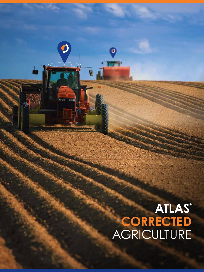# ATLAS<br>CORRECTED<br>AGRICULTURE

 $\boldsymbol{\ell}$